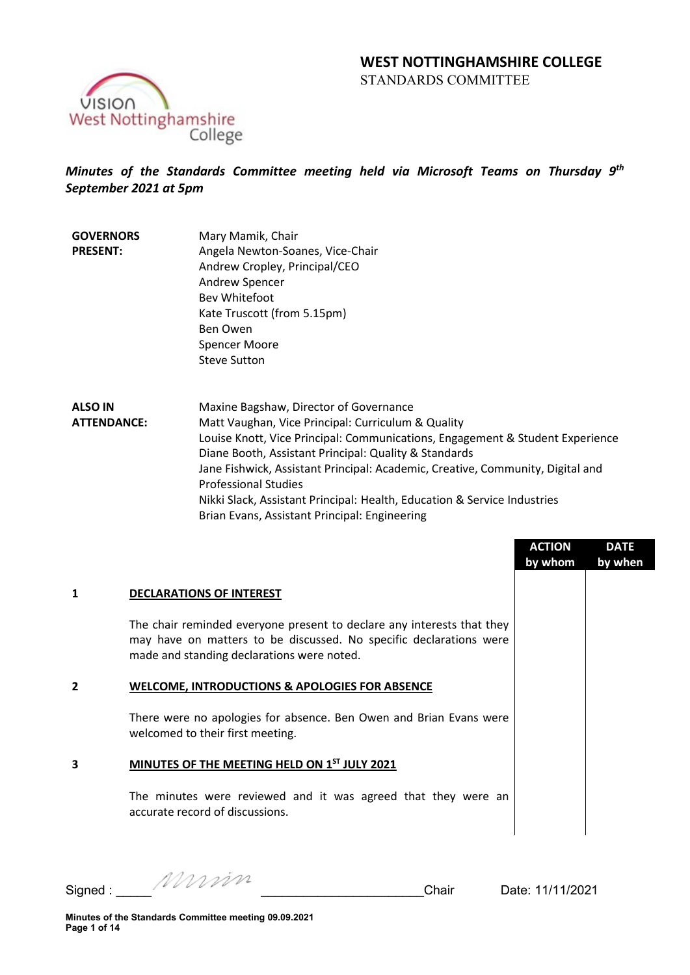

# *Minutes of the Standards Committee meeting held via Microsoft Teams on Thursday 9th September 2021 at 5pm*

- **GOVERNORS PRESENT:** Mary Mamik, Chair Angela Newton-Soanes, Vice-Chair Andrew Cropley, Principal/CEO Andrew Spencer Bev Whitefoot Kate Truscott (from 5.15pm) Ben Owen Spencer Moore Steve Sutton
- **ALSO IN ATTENDANCE:** Maxine Bagshaw, Director of Governance Matt Vaughan, Vice Principal: Curriculum & Quality Louise Knott, Vice Principal: Communications, Engagement & Student Experience Diane Booth, Assistant Principal: Quality & Standards Jane Fishwick, Assistant Principal: Academic, Creative, Community, Digital and Professional Studies Nikki Slack, Assistant Principal: Health, Education & Service Industries Brian Evans, Assistant Principal: Engineering

|                |                                                                                                                                                                                            | <b>ACTION</b><br>by whom | <b>DATE</b><br>by when |
|----------------|--------------------------------------------------------------------------------------------------------------------------------------------------------------------------------------------|--------------------------|------------------------|
| 1              | <b>DECLARATIONS OF INTEREST</b>                                                                                                                                                            |                          |                        |
|                | The chair reminded everyone present to declare any interests that they<br>may have on matters to be discussed. No specific declarations were<br>made and standing declarations were noted. |                          |                        |
| $\overline{2}$ | <b>WELCOME, INTRODUCTIONS &amp; APOLOGIES FOR ABSENCE</b>                                                                                                                                  |                          |                        |
|                | There were no apologies for absence. Ben Owen and Brian Evans were<br>welcomed to their first meeting.                                                                                     |                          |                        |
| 3              | MINUTES OF THE MEETING HELD ON 1ST JULY 2021                                                                                                                                               |                          |                        |
|                | The minutes were reviewed and it was agreed that they were an<br>accurate record of discussions.                                                                                           |                          |                        |

Signed : \_\_\_\_\_ \_\_\_\_\_\_\_\_\_\_\_\_\_\_\_\_\_\_\_\_\_\_\_Chair Date: 11/11/2021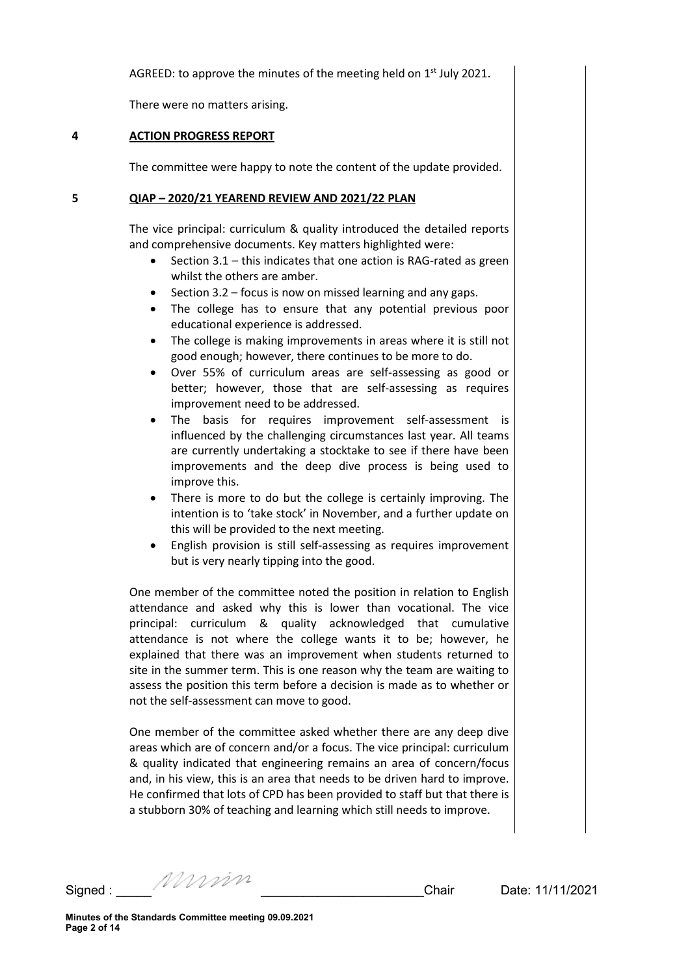AGREED: to approve the minutes of the meeting held on 1<sup>st</sup> July 2021.

There were no matters arising.

## **4 ACTION PROGRESS REPORT**

The committee were happy to note the content of the update provided.

### **5 QIAP – 2020/21 YEAREND REVIEW AND 2021/22 PLAN**

The vice principal: curriculum & quality introduced the detailed reports and comprehensive documents. Key matters highlighted were:

- Section 3.1 this indicates that one action is RAG-rated as green whilst the others are amber.
- Section 3.2 focus is now on missed learning and any gaps.
- The college has to ensure that any potential previous poor educational experience is addressed.
- The college is making improvements in areas where it is still not good enough; however, there continues to be more to do.
- Over 55% of curriculum areas are self-assessing as good or better; however, those that are self-assessing as requires improvement need to be addressed.
- The basis for requires improvement self-assessment is influenced by the challenging circumstances last year. All teams are currently undertaking a stocktake to see if there have been improvements and the deep dive process is being used to improve this.
- There is more to do but the college is certainly improving. The intention is to 'take stock' in November, and a further update on this will be provided to the next meeting.
- English provision is still self-assessing as requires improvement but is very nearly tipping into the good.

One member of the committee noted the position in relation to English attendance and asked why this is lower than vocational. The vice principal: curriculum & quality acknowledged that cumulative attendance is not where the college wants it to be; however, he explained that there was an improvement when students returned to site in the summer term. This is one reason why the team are waiting to assess the position this term before a decision is made as to whether or not the self-assessment can move to good.

One member of the committee asked whether there are any deep dive areas which are of concern and/or a focus. The vice principal: curriculum & quality indicated that engineering remains an area of concern/focus and, in his view, this is an area that needs to be driven hard to improve. He confirmed that lots of CPD has been provided to staff but that there is a stubborn 30% of teaching and learning which still needs to improve.

Signed : \_\_\_\_\_ \_\_\_\_\_\_\_\_\_\_\_\_\_\_\_\_\_\_\_\_\_\_\_Chair Date: 11/11/2021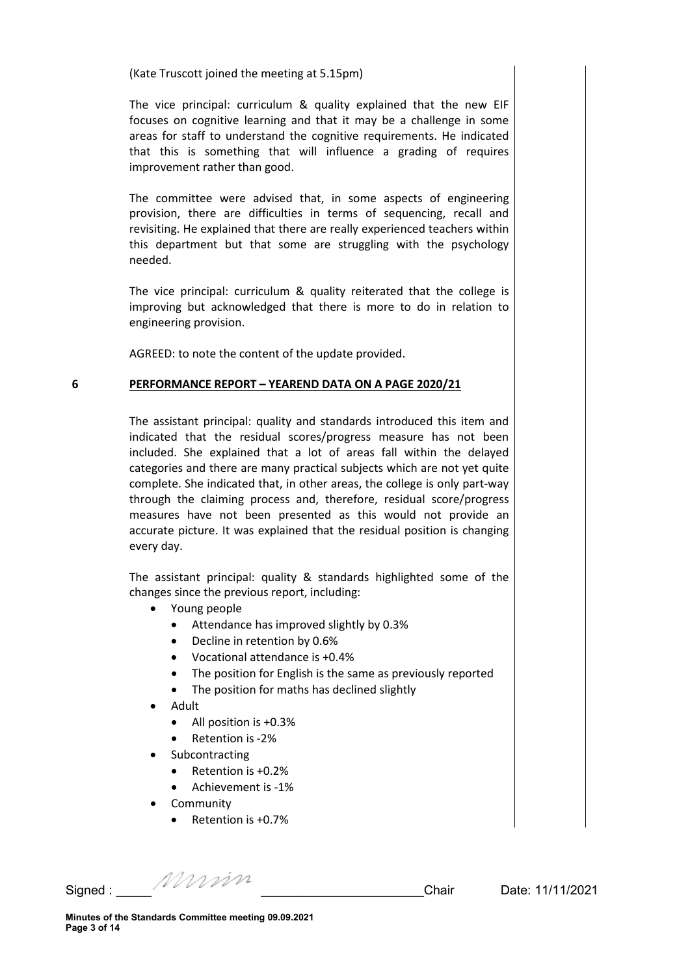(Kate Truscott joined the meeting at 5.15pm)

The vice principal: curriculum & quality explained that the new EIF focuses on cognitive learning and that it may be a challenge in some areas for staff to understand the cognitive requirements. He indicated that this is something that will influence a grading of requires improvement rather than good.

The committee were advised that, in some aspects of engineering provision, there are difficulties in terms of sequencing, recall and revisiting. He explained that there are really experienced teachers within this department but that some are struggling with the psychology needed.

The vice principal: curriculum & quality reiterated that the college is improving but acknowledged that there is more to do in relation to engineering provision.

AGREED: to note the content of the update provided.

#### **6 PERFORMANCE REPORT – YEAREND DATA ON A PAGE 2020/21**

The assistant principal: quality and standards introduced this item and indicated that the residual scores/progress measure has not been included. She explained that a lot of areas fall within the delayed categories and there are many practical subjects which are not yet quite complete. She indicated that, in other areas, the college is only part-way through the claiming process and, therefore, residual score/progress measures have not been presented as this would not provide an accurate picture. It was explained that the residual position is changing every day.

The assistant principal: quality & standards highlighted some of the changes since the previous report, including:

- Young people
	- Attendance has improved slightly by 0.3%
	- Decline in retention by 0.6%
	- Vocational attendance is +0.4%
	- The position for English is the same as previously reported
	- The position for maths has declined slightly
- Adult
	- All position is +0.3%
	- Retention is -2%
- **Subcontracting** 
	- Retention is +0.2%
	- Achievement is -1%
- **Community** 
	- Retention is +0.7%

Signed : \_\_\_\_\_ \_\_\_\_\_\_\_\_\_\_\_\_\_\_\_\_\_\_\_\_\_\_\_Chair Date: 11/11/2021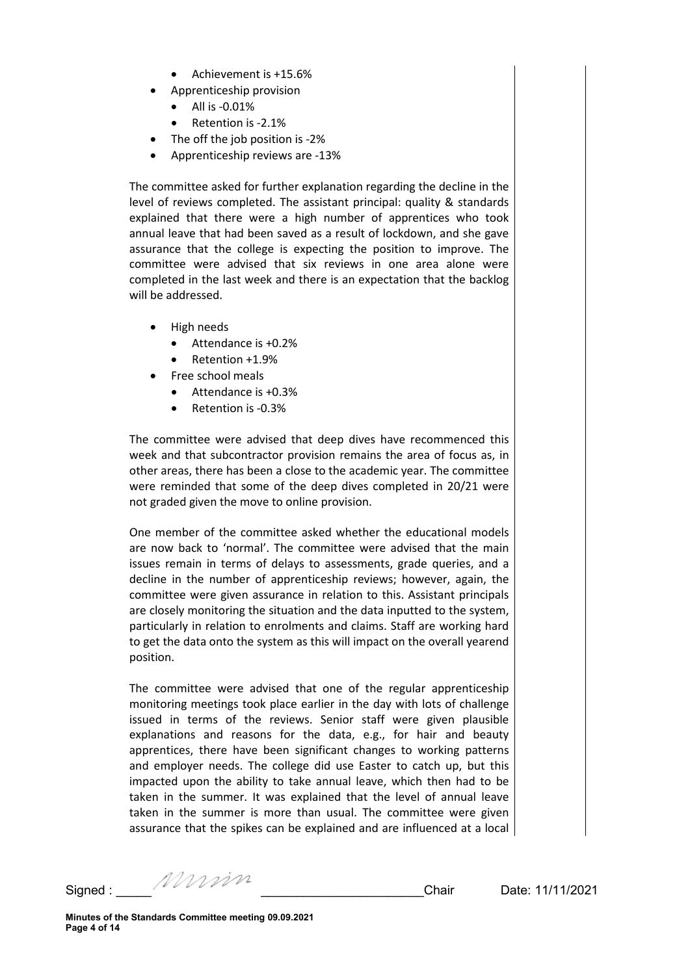- Achievement is +15.6%
- Apprenticeship provision
	- All is -0.01%
	- Retention is -2.1%
	- The off the job position is -2%
- Apprenticeship reviews are -13%

The committee asked for further explanation regarding the decline in the level of reviews completed. The assistant principal: quality & standards explained that there were a high number of apprentices who took annual leave that had been saved as a result of lockdown, and she gave assurance that the college is expecting the position to improve. The committee were advised that six reviews in one area alone were completed in the last week and there is an expectation that the backlog will be addressed.

- High needs
	- Attendance is +0.2%
	- Retention +1.9%
- Free school meals
	- Attendance is +0.3%
	- Retention is -0.3%

The committee were advised that deep dives have recommenced this week and that subcontractor provision remains the area of focus as, in other areas, there has been a close to the academic year. The committee were reminded that some of the deep dives completed in 20/21 were not graded given the move to online provision.

One member of the committee asked whether the educational models are now back to 'normal'. The committee were advised that the main issues remain in terms of delays to assessments, grade queries, and a decline in the number of apprenticeship reviews; however, again, the committee were given assurance in relation to this. Assistant principals are closely monitoring the situation and the data inputted to the system, particularly in relation to enrolments and claims. Staff are working hard to get the data onto the system as this will impact on the overall yearend position.

The committee were advised that one of the regular apprenticeship monitoring meetings took place earlier in the day with lots of challenge issued in terms of the reviews. Senior staff were given plausible explanations and reasons for the data, e.g., for hair and beauty apprentices, there have been significant changes to working patterns and employer needs. The college did use Easter to catch up, but this impacted upon the ability to take annual leave, which then had to be taken in the summer. It was explained that the level of annual leave taken in the summer is more than usual. The committee were given assurance that the spikes can be explained and are influenced at a local

Signed : \_\_\_\_\_ \_\_\_\_\_\_\_\_\_\_\_\_\_\_\_\_\_\_\_\_\_\_\_Chair Date: 11/11/2021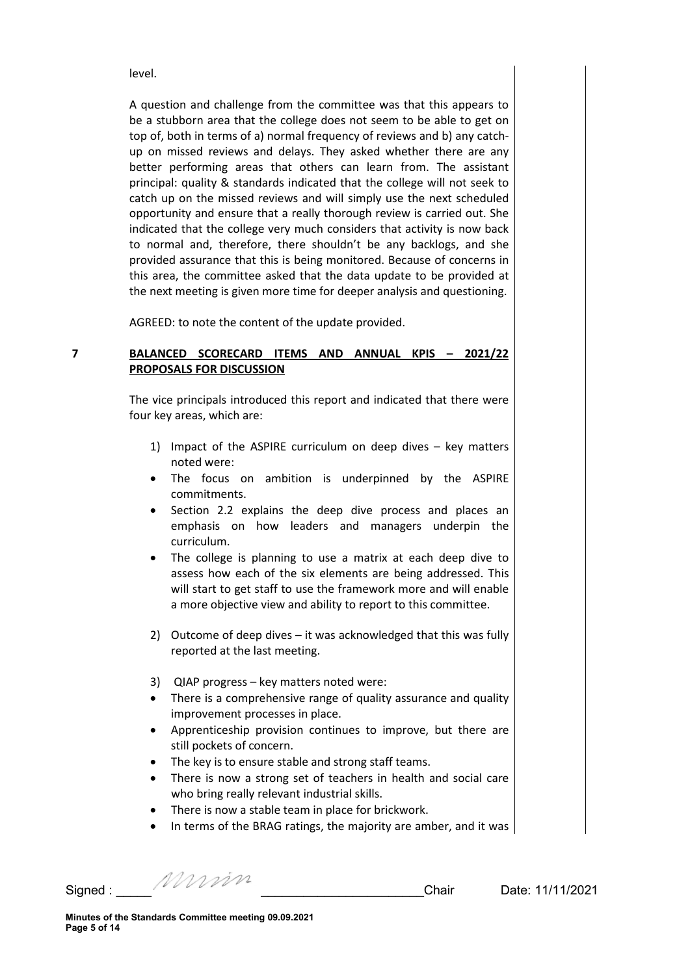level.

A question and challenge from the committee was that this appears to be a stubborn area that the college does not seem to be able to get on top of, both in terms of a) normal frequency of reviews and b) any catchup on missed reviews and delays. They asked whether there are any better performing areas that others can learn from. The assistant principal: quality & standards indicated that the college will not seek to catch up on the missed reviews and will simply use the next scheduled opportunity and ensure that a really thorough review is carried out. She indicated that the college very much considers that activity is now back to normal and, therefore, there shouldn't be any backlogs, and she provided assurance that this is being monitored. Because of concerns in this area, the committee asked that the data update to be provided at the next meeting is given more time for deeper analysis and questioning.

AGREED: to note the content of the update provided.

### **7 BALANCED SCORECARD ITEMS AND ANNUAL KPIS – 2021/22 PROPOSALS FOR DISCUSSION**

The vice principals introduced this report and indicated that there were four key areas, which are:

- 1) Impact of the ASPIRE curriculum on deep dives key matters noted were:
- The focus on ambition is underpinned by the ASPIRE commitments.
- Section 2.2 explains the deep dive process and places an emphasis on how leaders and managers underpin the curriculum.
- The college is planning to use a matrix at each deep dive to assess how each of the six elements are being addressed. This will start to get staff to use the framework more and will enable a more objective view and ability to report to this committee.
- 2) Outcome of deep dives it was acknowledged that this was fully reported at the last meeting.
- 3) QIAP progress key matters noted were:
- There is a comprehensive range of quality assurance and quality improvement processes in place.
- Apprenticeship provision continues to improve, but there are still pockets of concern.
- The key is to ensure stable and strong staff teams.
- There is now a strong set of teachers in health and social care who bring really relevant industrial skills.
- There is now a stable team in place for brickwork.
- In terms of the BRAG ratings, the majority are amber, and it was

Signed : \_\_\_\_\_ \_\_\_\_\_\_\_\_\_\_\_\_\_\_\_\_\_\_\_\_\_\_\_Chair Date: 11/11/2021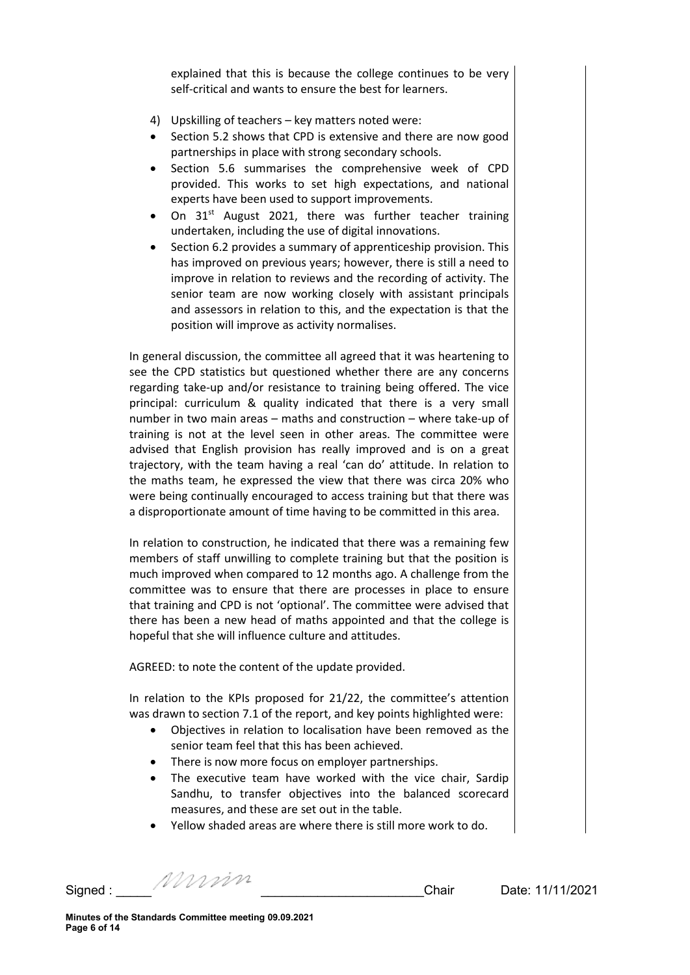explained that this is because the college continues to be very self-critical and wants to ensure the best for learners.

- 4) Upskilling of teachers key matters noted were:
- Section 5.2 shows that CPD is extensive and there are now good partnerships in place with strong secondary schools.
- Section 5.6 summarises the comprehensive week of CPD provided. This works to set high expectations, and national experts have been used to support improvements.
- On 31<sup>st</sup> August 2021, there was further teacher training undertaken, including the use of digital innovations.
- Section 6.2 provides a summary of apprenticeship provision. This has improved on previous years; however, there is still a need to improve in relation to reviews and the recording of activity. The senior team are now working closely with assistant principals and assessors in relation to this, and the expectation is that the position will improve as activity normalises.

In general discussion, the committee all agreed that it was heartening to see the CPD statistics but questioned whether there are any concerns regarding take-up and/or resistance to training being offered. The vice principal: curriculum & quality indicated that there is a very small number in two main areas – maths and construction – where take-up of training is not at the level seen in other areas. The committee were advised that English provision has really improved and is on a great trajectory, with the team having a real 'can do' attitude. In relation to the maths team, he expressed the view that there was circa 20% who were being continually encouraged to access training but that there was a disproportionate amount of time having to be committed in this area.

In relation to construction, he indicated that there was a remaining few members of staff unwilling to complete training but that the position is much improved when compared to 12 months ago. A challenge from the committee was to ensure that there are processes in place to ensure that training and CPD is not 'optional'. The committee were advised that there has been a new head of maths appointed and that the college is hopeful that she will influence culture and attitudes.

AGREED: to note the content of the update provided.

In relation to the KPIs proposed for 21/22, the committee's attention was drawn to section 7.1 of the report, and key points highlighted were:

- Objectives in relation to localisation have been removed as the senior team feel that this has been achieved.
- There is now more focus on employer partnerships.
- The executive team have worked with the vice chair, Sardip Sandhu, to transfer objectives into the balanced scorecard measures, and these are set out in the table.
- Yellow shaded areas are where there is still more work to do.

Signed : \_\_\_\_\_ \_\_\_\_\_\_\_\_\_\_\_\_\_\_\_\_\_\_\_\_\_\_\_Chair Date: 11/11/2021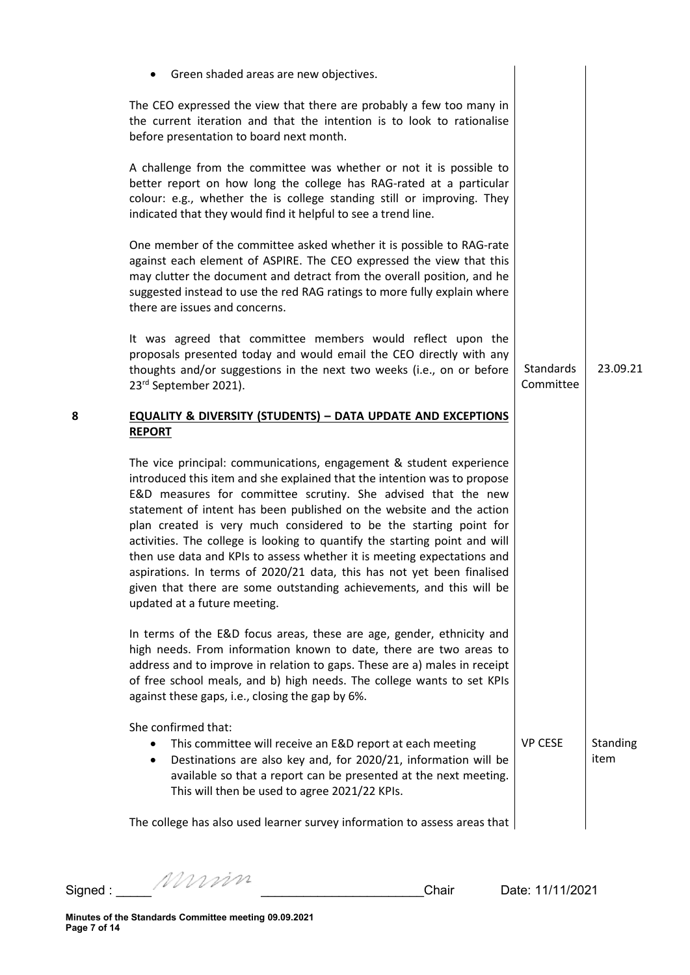|   | Green shaded areas are new objectives.                                                                                                                                                                                                                                                                                                                                                                                                                                                                                                                                                                                                                                                                   |                        |                  |
|---|----------------------------------------------------------------------------------------------------------------------------------------------------------------------------------------------------------------------------------------------------------------------------------------------------------------------------------------------------------------------------------------------------------------------------------------------------------------------------------------------------------------------------------------------------------------------------------------------------------------------------------------------------------------------------------------------------------|------------------------|------------------|
|   | The CEO expressed the view that there are probably a few too many in<br>the current iteration and that the intention is to look to rationalise<br>before presentation to board next month.                                                                                                                                                                                                                                                                                                                                                                                                                                                                                                               |                        |                  |
|   | A challenge from the committee was whether or not it is possible to<br>better report on how long the college has RAG-rated at a particular<br>colour: e.g., whether the is college standing still or improving. They<br>indicated that they would find it helpful to see a trend line.                                                                                                                                                                                                                                                                                                                                                                                                                   |                        |                  |
|   | One member of the committee asked whether it is possible to RAG-rate<br>against each element of ASPIRE. The CEO expressed the view that this<br>may clutter the document and detract from the overall position, and he<br>suggested instead to use the red RAG ratings to more fully explain where<br>there are issues and concerns.                                                                                                                                                                                                                                                                                                                                                                     |                        |                  |
|   | It was agreed that committee members would reflect upon the<br>proposals presented today and would email the CEO directly with any<br>thoughts and/or suggestions in the next two weeks (i.e., on or before<br>23rd September 2021).                                                                                                                                                                                                                                                                                                                                                                                                                                                                     | Standards<br>Committee | 23.09.21         |
| 8 | <b>EQUALITY &amp; DIVERSITY (STUDENTS) - DATA UPDATE AND EXCEPTIONS</b><br><b>REPORT</b>                                                                                                                                                                                                                                                                                                                                                                                                                                                                                                                                                                                                                 |                        |                  |
|   | The vice principal: communications, engagement & student experience<br>introduced this item and she explained that the intention was to propose<br>E&D measures for committee scrutiny. She advised that the new<br>statement of intent has been published on the website and the action<br>plan created is very much considered to be the starting point for<br>activities. The college is looking to quantify the starting point and will<br>then use data and KPIs to assess whether it is meeting expectations and<br>aspirations. In terms of 2020/21 data, this has not yet been finalised<br>given that there are some outstanding achievements, and this will be<br>updated at a future meeting. |                        |                  |
|   | In terms of the E&D focus areas, these are age, gender, ethnicity and<br>high needs. From information known to date, there are two areas to<br>address and to improve in relation to gaps. These are a) males in receipt<br>of free school meals, and b) high needs. The college wants to set KPIs<br>against these gaps, i.e., closing the gap by 6%.                                                                                                                                                                                                                                                                                                                                                   |                        |                  |
|   | She confirmed that:<br>This committee will receive an E&D report at each meeting<br>$\bullet$<br>Destinations are also key and, for 2020/21, information will be<br>$\bullet$<br>available so that a report can be presented at the next meeting.<br>This will then be used to agree 2021/22 KPIs.                                                                                                                                                                                                                                                                                                                                                                                                       | <b>VP CESE</b>         | Standing<br>item |
|   | The college has also used learner survey information to assess areas that                                                                                                                                                                                                                                                                                                                                                                                                                                                                                                                                                                                                                                |                        |                  |
|   |                                                                                                                                                                                                                                                                                                                                                                                                                                                                                                                                                                                                                                                                                                          |                        |                  |

Signed : \_\_\_\_\_ \_\_\_\_\_\_\_\_\_\_\_\_\_\_\_\_\_\_\_\_\_\_\_Chair Date: 11/11/2021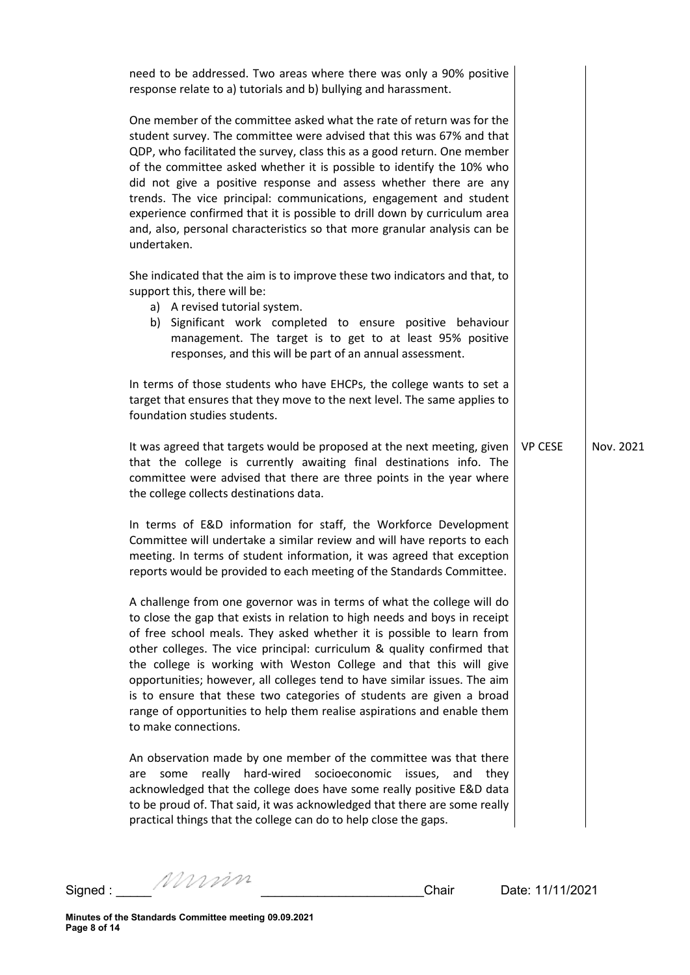| need to be addressed. Two areas where there was only a 90% positive<br>response relate to a) tutorials and b) bullying and harassment.                                                                                                                                                                                                                                                                                                                                                                                                                                                                                                 |                |           |
|----------------------------------------------------------------------------------------------------------------------------------------------------------------------------------------------------------------------------------------------------------------------------------------------------------------------------------------------------------------------------------------------------------------------------------------------------------------------------------------------------------------------------------------------------------------------------------------------------------------------------------------|----------------|-----------|
| One member of the committee asked what the rate of return was for the<br>student survey. The committee were advised that this was 67% and that<br>QDP, who facilitated the survey, class this as a good return. One member<br>of the committee asked whether it is possible to identify the 10% who<br>did not give a positive response and assess whether there are any<br>trends. The vice principal: communications, engagement and student<br>experience confirmed that it is possible to drill down by curriculum area<br>and, also, personal characteristics so that more granular analysis can be<br>undertaken.                |                |           |
| She indicated that the aim is to improve these two indicators and that, to<br>support this, there will be:<br>a) A revised tutorial system.<br>b) Significant work completed to ensure positive behaviour<br>management. The target is to get to at least 95% positive<br>responses, and this will be part of an annual assessment.                                                                                                                                                                                                                                                                                                    |                |           |
| In terms of those students who have EHCPs, the college wants to set a<br>target that ensures that they move to the next level. The same applies to<br>foundation studies students.                                                                                                                                                                                                                                                                                                                                                                                                                                                     |                |           |
| It was agreed that targets would be proposed at the next meeting, given<br>that the college is currently awaiting final destinations info. The<br>committee were advised that there are three points in the year where<br>the college collects destinations data.                                                                                                                                                                                                                                                                                                                                                                      | <b>VP CESE</b> | Nov. 2021 |
| In terms of E&D information for staff, the Workforce Development<br>Committee will undertake a similar review and will have reports to each<br>meeting. In terms of student information, it was agreed that exception<br>reports would be provided to each meeting of the Standards Committee.                                                                                                                                                                                                                                                                                                                                         |                |           |
| A challenge from one governor was in terms of what the college will do<br>to close the gap that exists in relation to high needs and boys in receipt<br>of free school meals. They asked whether it is possible to learn from<br>other colleges. The vice principal: curriculum & quality confirmed that<br>the college is working with Weston College and that this will give<br>opportunities; however, all colleges tend to have similar issues. The aim<br>is to ensure that these two categories of students are given a broad<br>range of opportunities to help them realise aspirations and enable them<br>to make connections. |                |           |
| An observation made by one member of the committee was that there<br>hard-wired<br>really<br>socioeconomic<br>some<br>issues,<br>they<br>are<br>and<br>acknowledged that the college does have some really positive E&D data<br>to be proud of. That said, it was acknowledged that there are some really<br>practical things that the college can do to help close the gaps.                                                                                                                                                                                                                                                          |                |           |
|                                                                                                                                                                                                                                                                                                                                                                                                                                                                                                                                                                                                                                        |                |           |

Signed : \_\_\_\_\_ \_\_\_\_\_\_\_\_\_\_\_\_\_\_\_\_\_\_\_\_\_\_\_Chair Date: 11/11/2021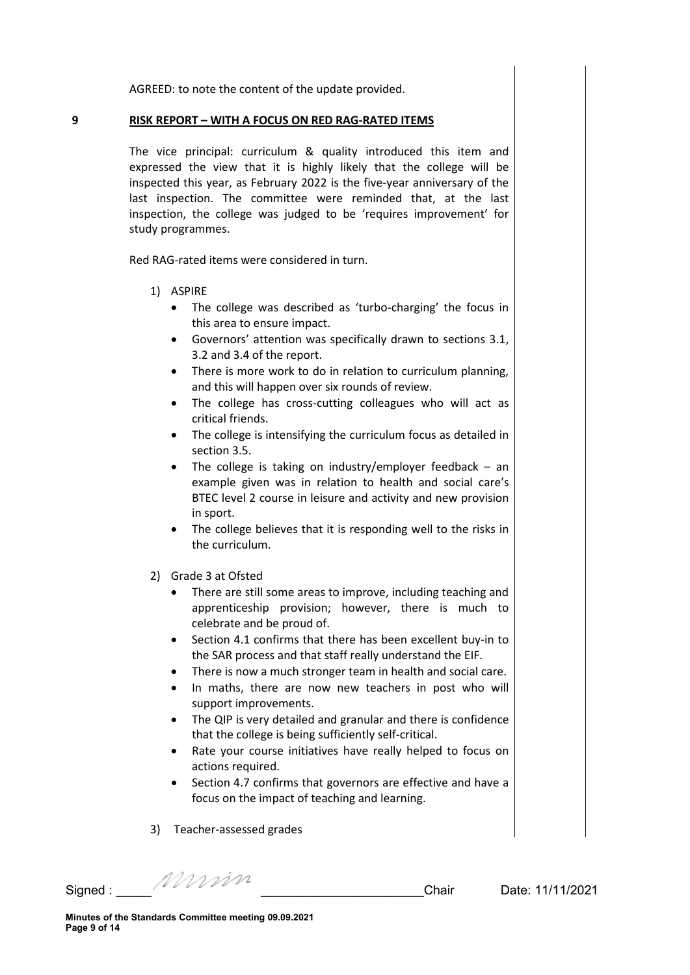AGREED: to note the content of the update provided.

### **9 RISK REPORT – WITH A FOCUS ON RED RAG-RATED ITEMS**

The vice principal: curriculum & quality introduced this item and expressed the view that it is highly likely that the college will be inspected this year, as February 2022 is the five-year anniversary of the last inspection. The committee were reminded that, at the last inspection, the college was judged to be 'requires improvement' for study programmes.

Red RAG-rated items were considered in turn.

- 1) ASPIRE
	- The college was described as 'turbo-charging' the focus in this area to ensure impact.
	- Governors' attention was specifically drawn to sections 3.1, 3.2 and 3.4 of the report.
	- There is more work to do in relation to curriculum planning, and this will happen over six rounds of review.
	- The college has cross-cutting colleagues who will act as critical friends.
	- The college is intensifying the curriculum focus as detailed in section 3.5.
	- The college is taking on industry/employer feedback an example given was in relation to health and social care's BTEC level 2 course in leisure and activity and new provision in sport.
	- The college believes that it is responding well to the risks in the curriculum.
- 2) Grade 3 at Ofsted
	- There are still some areas to improve, including teaching and apprenticeship provision; however, there is much to celebrate and be proud of.
	- Section 4.1 confirms that there has been excellent buy-in to the SAR process and that staff really understand the EIF.
	- There is now a much stronger team in health and social care.
	- In maths, there are now new teachers in post who will support improvements.
	- The QIP is very detailed and granular and there is confidence that the college is being sufficiently self-critical.
	- Rate your course initiatives have really helped to focus on actions required.
	- Section 4.7 confirms that governors are effective and have a focus on the impact of teaching and learning.
- 3) Teacher-assessed grades

Signed : \_\_\_\_\_ \_\_\_\_\_\_\_\_\_\_\_\_\_\_\_\_\_\_\_\_\_\_\_Chair Date: 11/11/2021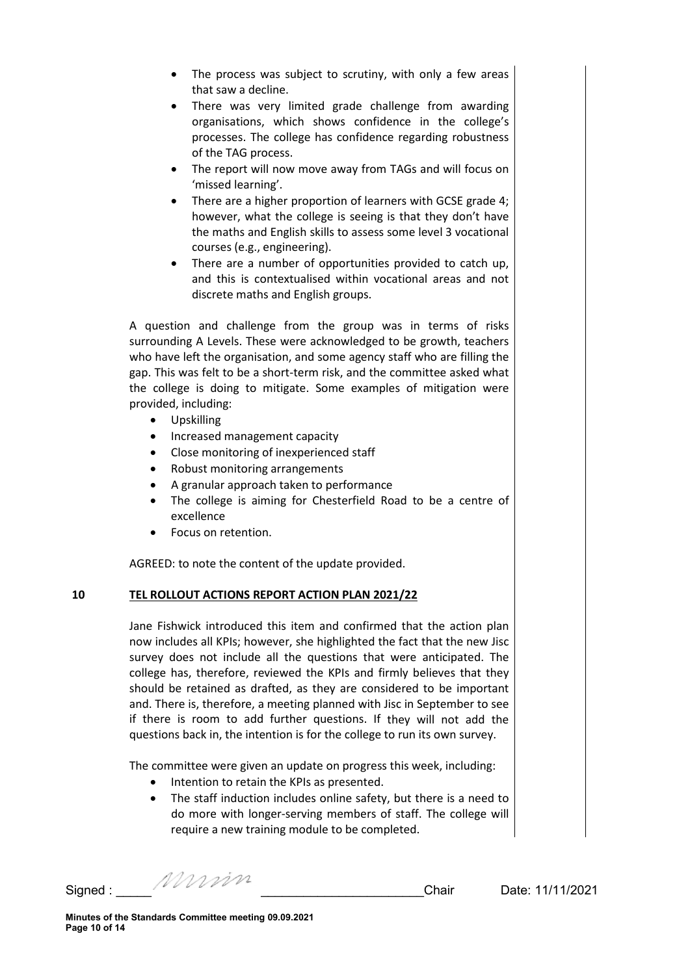- The process was subject to scrutiny, with only a few areas that saw a decline.
- There was very limited grade challenge from awarding organisations, which shows confidence in the college's processes. The college has confidence regarding robustness of the TAG process.
- The report will now move away from TAGs and will focus on 'missed learning'.
- There are a higher proportion of learners with GCSE grade 4; however, what the college is seeing is that they don't have the maths and English skills to assess some level 3 vocational courses (e.g., engineering).
- There are a number of opportunities provided to catch up, and this is contextualised within vocational areas and not discrete maths and English groups.

A question and challenge from the group was in terms of risks surrounding A Levels. These were acknowledged to be growth, teachers who have left the organisation, and some agency staff who are filling the gap. This was felt to be a short-term risk, and the committee asked what the college is doing to mitigate. Some examples of mitigation were provided, including:

- Upskilling
- Increased management capacity
- Close monitoring of inexperienced staff
- Robust monitoring arrangements
- A granular approach taken to performance
- The college is aiming for Chesterfield Road to be a centre of excellence
- Focus on retention.

AGREED: to note the content of the update provided.

# **10 TEL ROLLOUT ACTIONS REPORT ACTION PLAN 2021/22**

Jane Fishwick introduced this item and confirmed that the action plan now includes all KPIs; however, she highlighted the fact that the new Jisc survey does not include all the questions that were anticipated. The college has, therefore, reviewed the KPIs and firmly believes that they should be retained as drafted, as they are considered to be important and. There is, therefore, a meeting planned with Jisc in September to see if there is room to add further questions. If they will not add the questions back in, the intention is for the college to run its own survey.

The committee were given an update on progress this week, including:

- Intention to retain the KPIs as presented.
- The staff induction includes online safety, but there is a need to do more with longer-serving members of staff. The college will require a new training module to be completed.

Signed : \_\_\_\_\_ \_\_\_\_\_\_\_\_\_\_\_\_\_\_\_\_\_\_\_\_\_\_\_Chair Date: 11/11/2021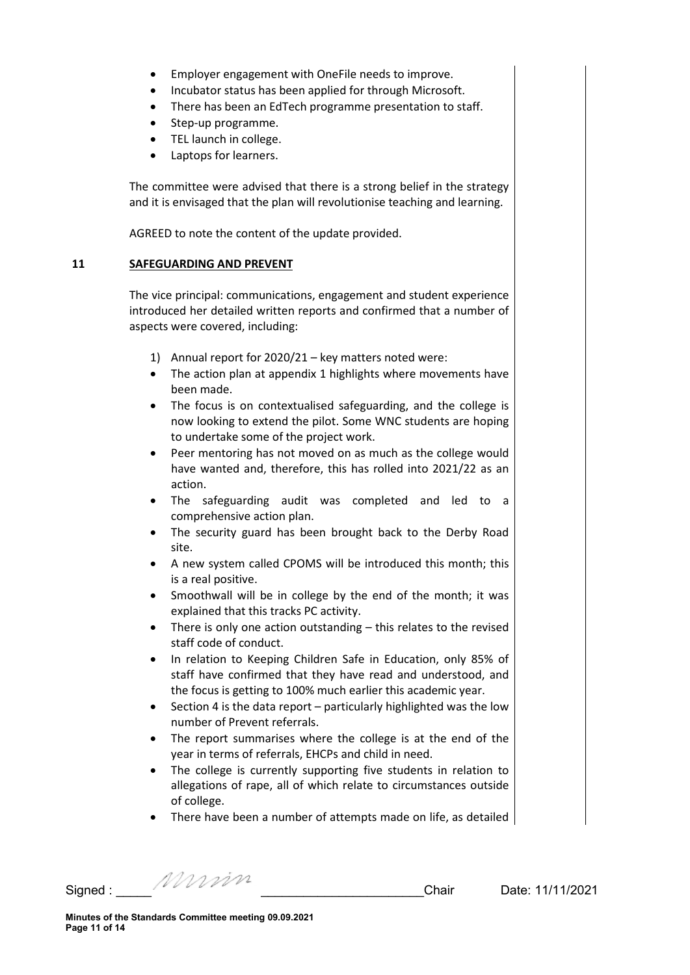- Employer engagement with OneFile needs to improve.
- Incubator status has been applied for through Microsoft.
- There has been an EdTech programme presentation to staff.
- Step-up programme.
- TEL launch in college.
- Laptops for learners.

The committee were advised that there is a strong belief in the strategy and it is envisaged that the plan will revolutionise teaching and learning.

AGREED to note the content of the update provided.

#### **11 SAFEGUARDING AND PREVENT**

The vice principal: communications, engagement and student experience introduced her detailed written reports and confirmed that a number of aspects were covered, including:

- 1) Annual report for 2020/21 key matters noted were:
- The action plan at appendix 1 highlights where movements have been made.
- The focus is on contextualised safeguarding, and the college is now looking to extend the pilot. Some WNC students are hoping to undertake some of the project work.
- Peer mentoring has not moved on as much as the college would have wanted and, therefore, this has rolled into 2021/22 as an action.
- The safeguarding audit was completed and led to a comprehensive action plan.
- The security guard has been brought back to the Derby Road site.
- A new system called CPOMS will be introduced this month; this is a real positive.
- Smoothwall will be in college by the end of the month; it was explained that this tracks PC activity.
- There is only one action outstanding this relates to the revised staff code of conduct.
- In relation to Keeping Children Safe in Education, only 85% of staff have confirmed that they have read and understood, and the focus is getting to 100% much earlier this academic year.
- Section 4 is the data report particularly highlighted was the low number of Prevent referrals.
- The report summarises where the college is at the end of the year in terms of referrals, EHCPs and child in need.
- The college is currently supporting five students in relation to allegations of rape, all of which relate to circumstances outside of college.
- There have been a number of attempts made on life, as detailed

Signed : \_\_\_\_\_ \_\_\_\_\_\_\_\_\_\_\_\_\_\_\_\_\_\_\_\_\_\_\_Chair Date: 11/11/2021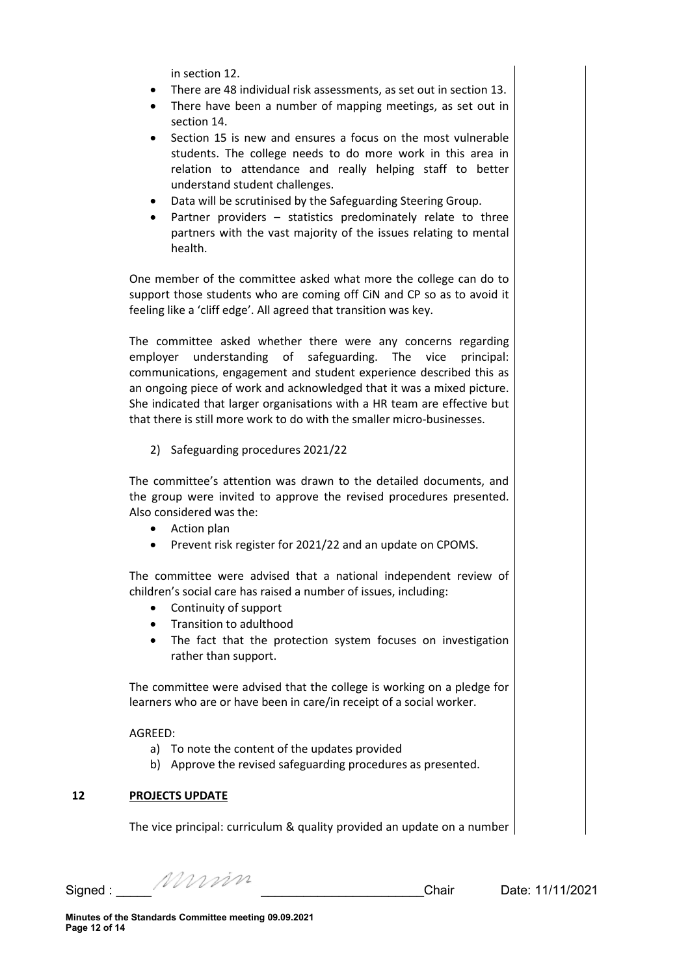in section 12.

- There are 48 individual risk assessments, as set out in section 13.
- There have been a number of mapping meetings, as set out in section 14.
- Section 15 is new and ensures a focus on the most vulnerable students. The college needs to do more work in this area in relation to attendance and really helping staff to better understand student challenges.
- Data will be scrutinised by the Safeguarding Steering Group.
- Partner providers  $-$  statistics predominately relate to three partners with the vast majority of the issues relating to mental health.

One member of the committee asked what more the college can do to support those students who are coming off CiN and CP so as to avoid it feeling like a 'cliff edge'. All agreed that transition was key.

The committee asked whether there were any concerns regarding employer understanding of safeguarding. The vice principal: communications, engagement and student experience described this as an ongoing piece of work and acknowledged that it was a mixed picture. She indicated that larger organisations with a HR team are effective but that there is still more work to do with the smaller micro-businesses.

2) Safeguarding procedures 2021/22

The committee's attention was drawn to the detailed documents, and the group were invited to approve the revised procedures presented. Also considered was the:

- Action plan
- Prevent risk register for 2021/22 and an update on CPOMS.

The committee were advised that a national independent review of children's social care has raised a number of issues, including:

- Continuity of support
- Transition to adulthood
- The fact that the protection system focuses on investigation rather than support.

The committee were advised that the college is working on a pledge for learners who are or have been in care/in receipt of a social worker.

AGREED:

- a) To note the content of the updates provided
- b) Approve the revised safeguarding procedures as presented.

### **12 PROJECTS UPDATE**

The vice principal: curriculum & quality provided an update on a number

Signed : \_\_\_\_\_ \_\_\_\_\_\_\_\_\_\_\_\_\_\_\_\_\_\_\_\_\_\_\_Chair Date: 11/11/2021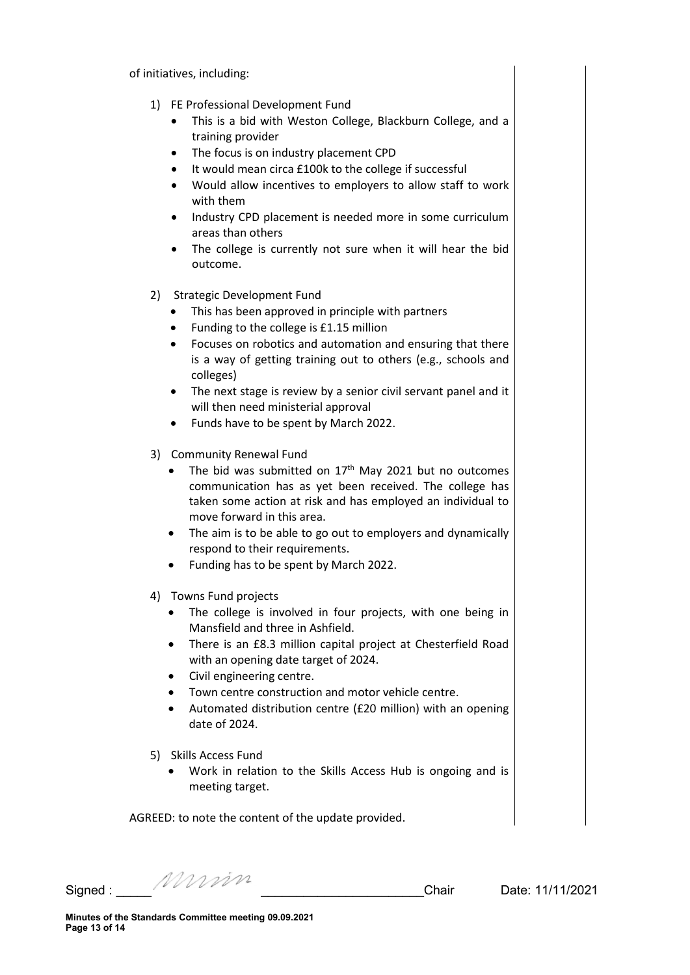of initiatives, including:

- 1) FE Professional Development Fund
	- This is a bid with Weston College, Blackburn College, and a training provider
	- The focus is on industry placement CPD
	- It would mean circa £100k to the college if successful
	- Would allow incentives to employers to allow staff to work with them
	- Industry CPD placement is needed more in some curriculum areas than others
	- The college is currently not sure when it will hear the bid outcome.
- 2) Strategic Development Fund
	- This has been approved in principle with partners
	- Funding to the college is £1.15 million
	- Focuses on robotics and automation and ensuring that there is a way of getting training out to others (e.g., schools and colleges)
	- The next stage is review by a senior civil servant panel and it will then need ministerial approval
	- Funds have to be spent by March 2022.
- 3) Community Renewal Fund
	- The bid was submitted on  $17<sup>th</sup>$  May 2021 but no outcomes communication has as yet been received. The college has taken some action at risk and has employed an individual to move forward in this area.
	- The aim is to be able to go out to employers and dynamically respond to their requirements.
	- Funding has to be spent by March 2022.
- 4) Towns Fund projects
	- The college is involved in four projects, with one being in Mansfield and three in Ashfield.
	- There is an £8.3 million capital project at Chesterfield Road with an opening date target of 2024.
	- Civil engineering centre.
	- Town centre construction and motor vehicle centre.
	- Automated distribution centre (£20 million) with an opening date of 2024.
- 5) Skills Access Fund
	- Work in relation to the Skills Access Hub is ongoing and is meeting target.

AGREED: to note the content of the update provided.

Signed : \_\_\_\_\_ \_\_\_\_\_\_\_\_\_\_\_\_\_\_\_\_\_\_\_\_\_\_\_Chair Date: 11/11/2021